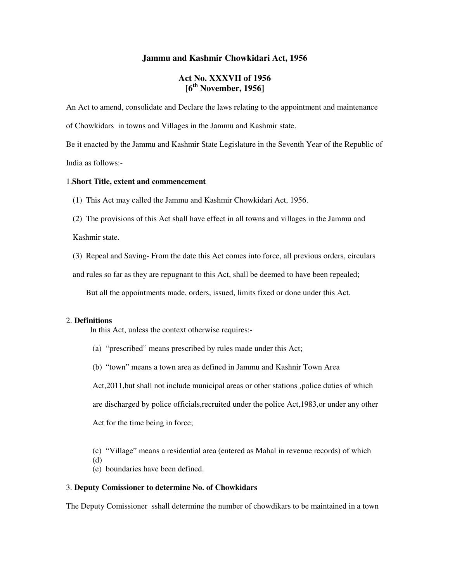### **Jammu and Kashmir Chowkidari Act, 1956**

# **Act No. XXXVII of 1956 [6th November, 1956]**

An Act to amend, consolidate and Declare the laws relating to the appointment and maintenance

of Chowkidars in towns and Villages in the Jammu and Kashmir state.

Be it enacted by the Jammu and Kashmir State Legislature in the Seventh Year of the Republic of India as follows:-

#### 1.**Short Title, extent and commencement**

- (1) This Act may called the Jammu and Kashmir Chowkidari Act, 1956.
- (2) The provisions of this Act shall have effect in all towns and villages in the Jammu and

Kashmir state.

(3) Repeal and Saving- From the date this Act comes into force, all previous orders, circulars

and rules so far as they are repugnant to this Act, shall be deemed to have been repealed;

But all the appointments made, orders, issued, limits fixed or done under this Act.

#### 2. **Definitions**

(d)

In this Act, unless the context otherwise requires:-

- (a) "prescribed" means prescribed by rules made under this Act;
- (b) "town" means a town area as defined in Jammu and Kashnir Town Area

Act,2011,but shall not include municipal areas or other stations ,police duties of which are discharged by police officials,recruited under the police Act,1983,or under any other Act for the time being in force;

- (c) "Village" means a residential area (entered as Mahal in revenue records) of which
- (e) boundaries have been defined.

#### 3. **Deputy Comissioner to determine No. of Chowkidars**

The Deputy Comissioner sshall determine the number of chowdikars to be maintained in a town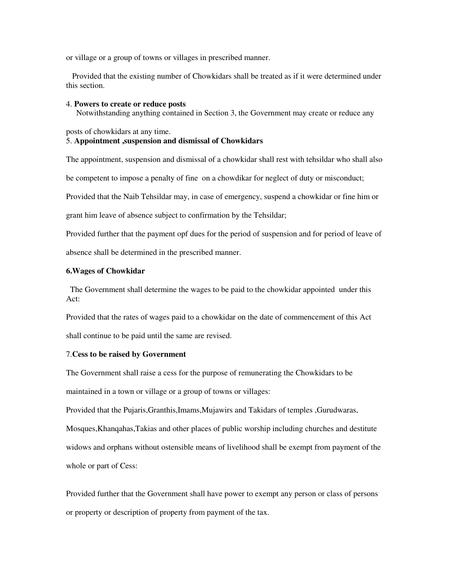or village or a group of towns or villages in prescribed manner.

 Provided that the existing number of Chowkidars shall be treated as if it were determined under this section.

#### 4. **Powers to create or reduce posts**

Notwithstanding anything contained in Section 3, the Government may create or reduce any

posts of chowkidars at any time.

## 5. **Appointment ,suspension and dismissal of Chowkidars**

The appointment, suspension and dismissal of a chowkidar shall rest with tehsildar who shall also

be competent to impose a penalty of fine on a chowdikar for neglect of duty or misconduct;

Provided that the Naib Tehsildar may, in case of emergency, suspend a chowkidar or fine him or

grant him leave of absence subject to confirmation by the Tehsildar;

Provided further that the payment opf dues for the period of suspension and for period of leave of absence shall be determined in the prescribed manner.

### **6.Wages of Chowkidar**

 The Government shall determine the wages to be paid to the chowkidar appointed under this Act:

Provided that the rates of wages paid to a chowkidar on the date of commencement of this Act shall continue to be paid until the same are revised.

#### 7.**Cess to be raised by Government**

The Government shall raise a cess for the purpose of remunerating the Chowkidars to be maintained in a town or village or a group of towns or villages:

Provided that the Pujaris,Granthis,Imams,Mujawirs and Takidars of temples ,Gurudwaras, Mosques,Khanqahas,Takias and other places of public worship including churches and destitute widows and orphans without ostensible means of livelihood shall be exempt from payment of the whole or part of Cess:

Provided further that the Government shall have power to exempt any person or class of persons or property or description of property from payment of the tax.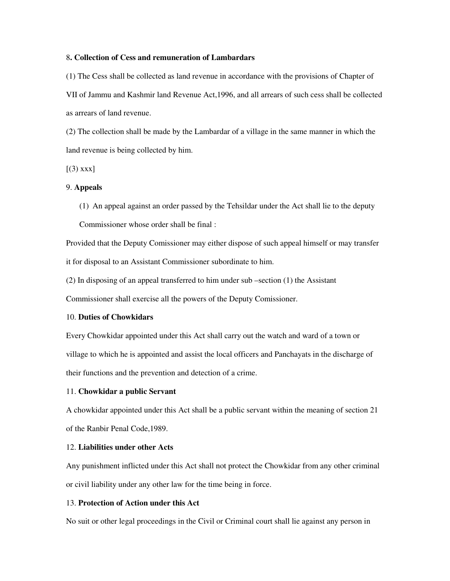### 8**. Collection of Cess and remuneration of Lambardars**

(1) The Cess shall be collected as land revenue in accordance with the provisions of Chapter of VII of Jammu and Kashmir land Revenue Act,1996, and all arrears of such cess shall be collected as arrears of land revenue.

(2) The collection shall be made by the Lambardar of a village in the same manner in which the land revenue is being collected by him.

 $[(3)$  xxx]

### 9. **Appeals**

(1) An appeal against an order passed by the Tehsildar under the Act shall lie to the deputy Commissioner whose order shall be final :

Provided that the Deputy Comissioner may either dispose of such appeal himself or may transfer it for disposal to an Assistant Commissioner subordinate to him.

(2) In disposing of an appeal transferred to him under sub –section (1) the Assistant

Commissioner shall exercise all the powers of the Deputy Comissioner.

## 10. **Duties of Chowkidars**

Every Chowkidar appointed under this Act shall carry out the watch and ward of a town or village to which he is appointed and assist the local officers and Panchayats in the discharge of their functions and the prevention and detection of a crime.

### 11. **Chowkidar a public Servant**

A chowkidar appointed under this Act shall be a public servant within the meaning of section 21 of the Ranbir Penal Code,1989.

## 12. **Liabilities under other Acts**

Any punishment inflicted under this Act shall not protect the Chowkidar from any other criminal or civil liability under any other law for the time being in force.

## 13. **Protection of Action under this Act**

No suit or other legal proceedings in the Civil or Criminal court shall lie against any person in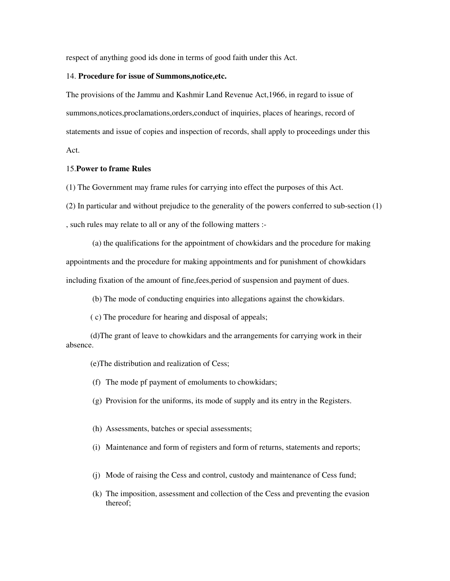respect of anything good ids done in terms of good faith under this Act.

#### 14. **Procedure for issue of Summons,notice,etc.**

The provisions of the Jammu and Kashmir Land Revenue Act,1966, in regard to issue of summons,notices,proclamations,orders,conduct of inquiries, places of hearings, record of statements and issue of copies and inspection of records, shall apply to proceedings under this Act.

### 15.**Power to frame Rules**

(1) The Government may frame rules for carrying into effect the purposes of this Act.

(2) In particular and without prejudice to the generality of the powers conferred to sub-section (1)

, such rules may relate to all or any of the following matters :-

 (a) the qualifications for the appointment of chowkidars and the procedure for making appointments and the procedure for making appointments and for punishment of chowkidars including fixation of the amount of fine,fees,period of suspension and payment of dues.

(b) The mode of conducting enquiries into allegations against the chowkidars.

( c) The procedure for hearing and disposal of appeals;

 (d)The grant of leave to chowkidars and the arrangements for carrying work in their absence.

(e)The distribution and realization of Cess;

(f) The mode pf payment of emoluments to chowkidars;

- (g) Provision for the uniforms, its mode of supply and its entry in the Registers.
- (h) Assessments, batches or special assessments;
- (i) Maintenance and form of registers and form of returns, statements and reports;
- (j) Mode of raising the Cess and control, custody and maintenance of Cess fund;
- (k) The imposition, assessment and collection of the Cess and preventing the evasion thereof;